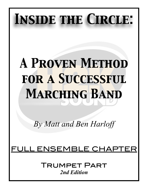# *Inside the Circle:*

# *A Proven Method for a Successful Marching Band*

*By Matt and Ben Harloff* 

# ENSEMBLE CHAP

Trumpet Part *2nd Edition*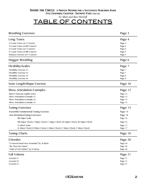#### *Inside the Circle: A Proven Method for a Successful Marching Band Full Ensemble Chapter: Trumpet Part (2nd ed.) by Matt and Ben Harloff* TABLE OF CONTENTS

| <b>Breathing Exercises</b>                                                     | Page 3             |
|--------------------------------------------------------------------------------|--------------------|
| Long Tones                                                                     | Page 4             |
| -9 Count Tones on F Concert:                                                   | Page 4             |
| -9 Count Tones on Bb Concert:                                                  | Page 4             |
| -8 Count Tones on F Concert:                                                   | Page 4             |
| -8 Count Tones on Bb Concert:                                                  | Page 5             |
| -Release Exercise on F Concert:                                                | Page 5             |
| Stagger Breathing                                                              | Page 6             |
| <b>Flexibility/Scales</b>                                                      | Page 7             |
| -Flexibility Exercise #1:                                                      |                    |
| -Flexibility Exercise #2:                                                      | Page 7             |
| -Flexibility Exercise #3:                                                      | Page 7             |
|                                                                                | Page 8             |
| -Flexibility Exercise #4:                                                      | Page 9             |
| Note Length/Shape Exercise                                                     | Page 10            |
| <b>Show Articulation Examples</b>                                              | Page 12            |
| -Basic 8 Staccato Eighth Notes:                                                | Page 12            |
| -Show Articulation Example #1:                                                 |                    |
| -Show Articulation Example #2:                                                 | Page 12<br>Page 13 |
| -Show Articulation Example #3:                                                 | Page 13            |
| <b>Tuning Exercises</b>                                                        | Page 15            |
| -Ensemble Fundamental Tuning Exercise:                                         | Page 15            |
|                                                                                |                    |
| -Just IntonationTuning Exercises:                                              | Page 16            |
| -Bb Major Scale:                                                               | Page 16            |
| -Bb Major Chord, F Major Chord, C Major Chord, Eb Major Chord, Ab Major Chord: | Page 16            |
| -G Minor Scale:                                                                | Page 17            |
| -G Minor Chord, D Minor Chord, A Minor Chord, C Minor Chord, F Minor Chord:    | Page 17            |
| <b>Tuning Charts</b>                                                           | Page 18            |
| Chorales                                                                       | Page 20            |
| -"O Sacred Head Now Wounded" by JS Bach:                                       | Page 20            |
| -"Be Thou My Vision":                                                          | Page 20            |
| -"Faith of Our Fathers" by H Hemy:                                             | Page 20            |
| <b>Full Volume</b>                                                             | Page 21            |
| -Excerpt $#1$ :                                                                | Page 21            |
|                                                                                |                    |
| -Excerpt $#2$ :                                                                | Page 21            |
| -Excerpt #3:                                                                   | Page 21            |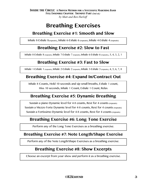# **Breathing Exercises**

## **Breathing Exercise #1: Smooth and Slow**

Inhale 8-Exhale 8(repeats), Inhale 6-Exhale 6 (repeats), Inhale 4-Exhale 4 (repeats)

## **Breathing Exercise #2: Slow to Fast**

Inhale 8-Exhale 8 (repeats), Inhale 7-Exhale 7 (repeats), Inhale 6-Exhale 6 (repeats), 5, 4, 3, 2, 1

## **Breathing Exercise #3: Fast to Slow**

Inhale 1-Exhale 1 (repeats), Inhale 2-Exhale 2 (repeats), Inhale 3-Exhale 3 (repeats), 4, 5, 6, 7, 8

## **Breathing Exercise #4: Expand In/Contract Out**

Inhale 8 Counts, Hold 10 seconds and sip small breaths, Exhale 1 count, Hiss 10 seconds, Inhale 1 Count, Exhale 1 Count, Relax

## **Breathing Exercise #5: Dynamic Breathing**

Sustain a piano Dynamic level for 4-8 counts, Rest for 4 counts (repeats) Sustain a Mezzo Forte Dynamic level for 4-8 counts, Rest for 4 counts (repeats) Sustain a Fortissimo Dynamic level for 4-8 counts, Rest for 4 counts (repeats)

## **Breathing Exercise #6: Long Tone Exercise**

Perform any of the Long Tone Exercises as a breathing exercise.

### **Breathing Exercise #7: Note Length/Shape Exercise**

Perform any of the Note Length/Shape Exercises as a breathing exercise.

## **Breathing Exercise #8: Show Excerpts**

Choose an excerpt from your show and perform it as a breathing exercise.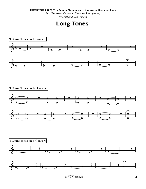#### *Inside the Circle: A Proven Method for a Successful Marching Band*

*Full Ensemble Chapter: Trumpet Part (2nd ed.)*

*by Matt and Ben Harloff*

## **Long Tones**

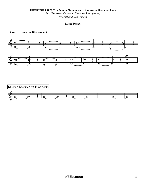*by Matt and Ben Harloff*

```
Long Tones
```
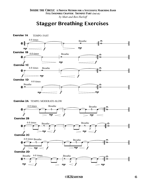## **Stagger Breathing Exercises**



 *©H2Ksound* 6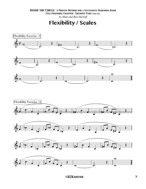*by Matt and Ben Harloff*

**Flexibility / Scales**













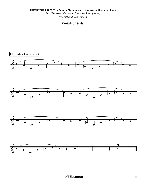*by Matt and Ben Harloff*

Flexibility / Scales

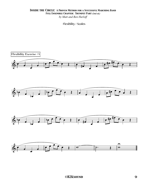*by Matt and Ben Harloff*

Flexibility / Scales

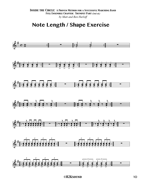## Note Length / Shape Exercise

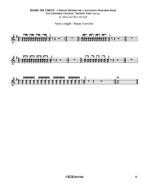#### **INSIDE THE CIRCLE: A PROVEN METHOD FOR A SUCCESSFUL MARCHING BAND** FULL ENSEMBLE CHAPTER: TRUMPET PART (2nd ed.) by Matt and Ben Harloff

Note Length / Shape Exercise

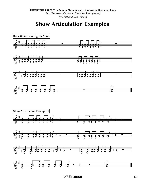# **Show Articulation Examples**

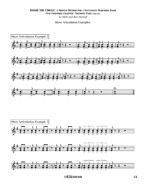#### **INSIDE THE CIRCLE: A PROVEN METHOD FOR A SUCCESSFUL MARCHING BAND** FULL ENSEMBLE CHAPTER: TRUMPET PART (2nd ed.) by Matt and Ben Harloff

#### **Show Articulation Examples**

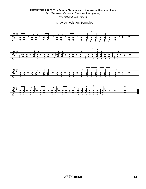#### **INSIDE THE CIRCLE: A PROVEN METHOD FOR A SUCCESSFUL MARCHING BAND** FULL ENSEMBLE CHAPTER: TRUMPET PART (2nd ed.) by Matt and Ben Harloff

**Show Articulation Examples** 

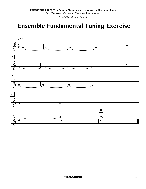# **Ensemble Fundamental Tuning Exercise**

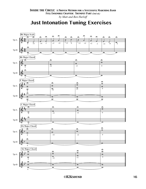## **Just Intonation Tuning Exercises**

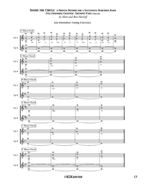*by Matt and Ben Harloff*

#### Just Intonation Tuning Exercises

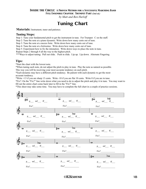#### *Inside the Circle: A Proven Method for a Successful Marching Band*

*Full Ensemble Chapter: Trumpet Part (2nd ed.)*

*by Matt and Ben Harloff*

## **Tuning Chart**

**Materials:** Instrument, tuner and patience.

#### **Tuning Steps:**

Step 1: Tune your fundamental pitch to get the instrument in tune. For Trumpet: C on the staff.

Step 2: Tune the note at a piano dynamic. Write down how many cents out of tune.

Step 3: Tune the note at a mezzo forte. Write down how many cents out of tune.

Step 4: Tune the note at a fortissimo. Write down how many cents out of tune.

Step 5: Experiment how to fix the intonation. Write down ways to place the note in tune.

Repeat Steps 2 through 4 all the way to the highest pitch.

\*\*\*Ways to adjust tuning: Pull out slide. Push in slide. Lip up. Lip down. Alternate Fingering.

#### **Tips:**

\*Start the chart with the lowest note.

\*When tuning each note, do not adjust the pitch to play in tune. Play the note as natural as possible.

This way you will be receiving your most accurate tendency on each pitch.

\*Each dynamic may have a different pitch tendency. Be patient with each dynamic to get the most accurate tendency.

\*Write +13 if you are sharp 13 cents. Write -10 if you are flat 10 cents. Write 0 if you are in tune.

\*Fix?: On the "Fix?" line write down what you need to do to adjust the pitch and play it in tune. You may want to fill out the entire chart come back later to fill in the "Fix?" line.

\*This sheet may take some time. You may have to complete the full chart in a couple of practice sessions.



 *©H2Ksound* 18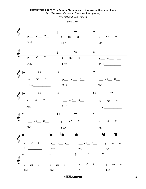*by Matt and Ben Harloff*

Tuning Chart



 *©H2Ksound* 19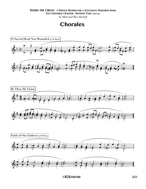*by Matt and Ben Harloff*

# **Chorales**